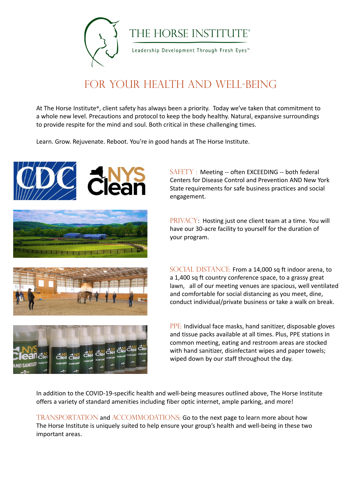

THE HORSE INSTITUTE®

Leadership Development Through Fresh Eyes<sup>™</sup>

## For Your HEALTH and Well-Being

At The Horse Institute®, client safety has always been a priority. Today we've taken that commitment to a whole new level. Precautions and protocol to keep the body healthy. Natural, expansive surroundings to provide respite for the mind and soul. Both critical in these challenging times.

> SAFETY : Meeting -- often EXCEEDING -- both federal Centers for Disease Control and Prevention AND New York State requirements for safe business practices and social engagement.

Learn. Grow. Rejuvenate. Reboot. You're in good hands at The Horse Institute.



SOCIAL DISTANCE: From a 14,000 sq ft indoor arena, to a 1,400 sq ft country conference space, to a grassy great lawn, all of our meeting venues are spacious, well ventilated and comfortable for social distancing as you meet, dine, conduct individual/private business or take a walk on break.

PRIVACY: Hosting just one client team at a time. You will have our 30-acre facility to yourself for the duration of your program.



TRANSPORTATION and ACCOMMODATIONS: Go to the next page to learn more about how The Horse Institute is uniquely suited to help ensure your group's health and well-being in these two important areas.

PPE: Individual face masks, hand sanitizer, disposable gloves and tissue packs available at all times. Plus, PPE stations in



common meeting, eating and restroom areas are stocked with hand sanitizer, disinfectant wipes and paper towels; wiped down by our staff throughout the day.

In addition to the COVID-19-specific health and well-being measures outlined above, The Horse Institute offers a variety of standard amenities including fiber optic internet, ample parking, and more!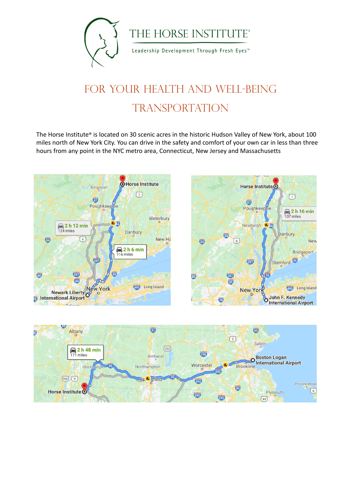

THE HORSE INSTITUTE®

Leadership Development Through Fresh Eyes<sup>™</sup>

## FOR YOUR HEALTH AND WELL-BEING **TRANSPORTATION**

The Horse Institute® is located on 30 scenic acres in the historic Hudson Valley of New York, about 100 miles north of New York City. You can drive in the safety and comfort of your own car in less than three hours from any point in the NYC metro area, Connecticut, New Jersey and Massachusetts





 $\overline{\mathbf{95}}$ 



Ŵ